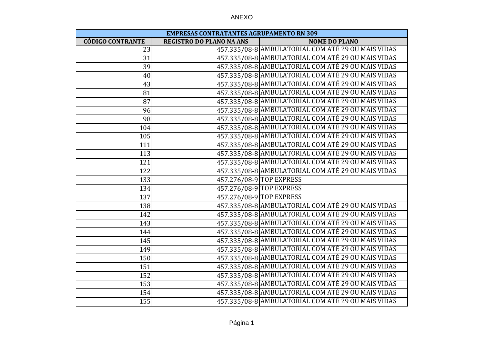| ANL<br>_ |  |
|----------|--|
|----------|--|

| <b>EMPRESAS CONTRATANTES AGRUPAMENTO RN 309</b> |                                 |                                                    |  |
|-------------------------------------------------|---------------------------------|----------------------------------------------------|--|
| <b>CÓDIGO CONTRANTE</b>                         | <b>REGISTRO DO PLANO NA ANS</b> | <b>NOME DO PLANO</b>                               |  |
| 23                                              |                                 | 457.335/08-8 AMBULATORIAL COM ATÉ 29 OU MAIS VIDAS |  |
| $\overline{31}$                                 |                                 | 457.335/08-8 AMBULATORIAL COM ATÉ 29 OU MAIS VIDAS |  |
| 39                                              |                                 | 457.335/08-8 AMBULATORIAL COM ATÉ 29 OU MAIS VIDAS |  |
| 40                                              |                                 | 457.335/08-8 AMBULATORIAL COM ATÉ 29 OU MAIS VIDAS |  |
| 43                                              |                                 | 457.335/08-8 AMBULATORIAL COM ATÉ 29 OU MAIS VIDAS |  |
| $\overline{81}$                                 |                                 | 457.335/08-8 AMBULATORIAL COM ATÉ 29 OU MAIS VIDAS |  |
| 87                                              |                                 | 457.335/08-8 AMBULATORIAL COM ATÉ 29 OU MAIS VIDAS |  |
| 96                                              |                                 | 457.335/08-8 AMBULATORIAL COM ATÉ 29 OU MAIS VIDAS |  |
| 98                                              |                                 | 457.335/08-8 AMBULATORIAL COM ATÉ 29 OU MAIS VIDAS |  |
| 104                                             |                                 | 457.335/08-8 AMBULATORIAL COM ATÉ 29 OU MAIS VIDAS |  |
| 105                                             |                                 | 457.335/08-8 AMBULATORIAL COM ATÉ 29 OU MAIS VIDAS |  |
| 111                                             |                                 | 457.335/08-8 AMBULATORIAL COM ATÉ 29 OU MAIS VIDAS |  |
| $\overline{113}$                                |                                 | 457.335/08-8 AMBULATORIAL COM ATÉ 29 OU MAIS VIDAS |  |
| 121                                             |                                 | 457.335/08-8 AMBULATORIAL COM ATÉ 29 OU MAIS VIDAS |  |
| 122                                             |                                 | 457.335/08-8 AMBULATORIAL COM ATÉ 29 OU MAIS VIDAS |  |
| 133                                             |                                 | 457.276/08-9 TOP EXPRESS                           |  |
| 134                                             |                                 | 457.276/08-9 TOP EXPRESS                           |  |
| 137                                             |                                 | 457.276/08-9 TOP EXPRESS                           |  |
| 138                                             |                                 | 457.335/08-8 AMBULATORIAL COM ATÉ 29 OU MAIS VIDAS |  |
| 142                                             |                                 | 457.335/08-8 AMBULATORIAL COM ATÉ 29 OU MAIS VIDAS |  |
| 143                                             |                                 | 457.335/08-8 AMBULATORIAL COM ATÉ 29 OU MAIS VIDAS |  |
| 144                                             |                                 | 457.335/08-8 AMBULATORIAL COM ATÉ 29 OU MAIS VIDAS |  |
| 145                                             |                                 | 457.335/08-8 AMBULATORIAL COM ATÉ 29 OU MAIS VIDAS |  |
| 149                                             |                                 | 457.335/08-8 AMBULATORIAL COM ATÉ 29 OU MAIS VIDAS |  |
| 150                                             |                                 | 457.335/08-8 AMBULATORIAL COM ATÉ 29 OU MAIS VIDAS |  |
| 151                                             |                                 | 457.335/08-8 AMBULATORIAL COM ATÉ 29 OU MAIS VIDAS |  |
| 152                                             |                                 | 457.335/08-8 AMBULATORIAL COM ATÉ 29 OU MAIS VIDAS |  |
| 153                                             |                                 | 457.335/08-8 AMBULATORIAL COM ATÉ 29 OU MAIS VIDAS |  |
| 154                                             |                                 | 457.335/08-8 AMBULATORIAL COM ATÉ 29 OU MAIS VIDAS |  |
| 155                                             |                                 | 457.335/08-8 AMBULATORIAL COM ATÉ 29 OU MAIS VIDAS |  |